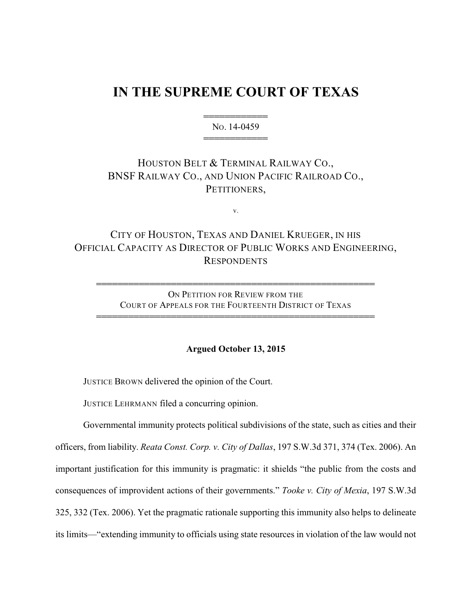# **IN THE SUPREME COURT OF TEXAS**

444444444444 NO. 14-0459 444444444444

### HOUSTON BELT & TERMINAL RAILWAY CO., BNSF RAILWAY CO., AND UNION PACIFIC RAILROAD CO., PETITIONERS,

v.

## CITY OF HOUSTON, TEXAS AND DANIEL KRUEGER, IN HIS OFFICIAL CAPACITY AS DIRECTOR OF PUBLIC WORKS AND ENGINEERING, RESPONDENTS

ON PETITION FOR REVIEW FROM THE COURT OF APPEALS FOR THE FOURTEENTH DISTRICT OF TEXAS

4444444444444444444444444444444444444444444444444444

4444444444444444444444444444444444444444444444444444

#### **Argued October 13, 2015**

JUSTICE BROWN delivered the opinion of the Court.

JUSTICE LEHRMANN filed a concurring opinion.

Governmental immunity protects political subdivisions of the state, such as cities and their officers, from liability. *Reata Const. Corp. v. City of Dallas*, 197 S.W.3d 371, 374 (Tex. 2006). An important justification for this immunity is pragmatic: it shields "the public from the costs and consequences of improvident actions of their governments." *Tooke v. City of Mexia*, 197 S.W.3d 325, 332 (Tex. 2006). Yet the pragmatic rationale supporting this immunity also helps to delineate its limits—"extending immunity to officials using state resources in violation of the law would not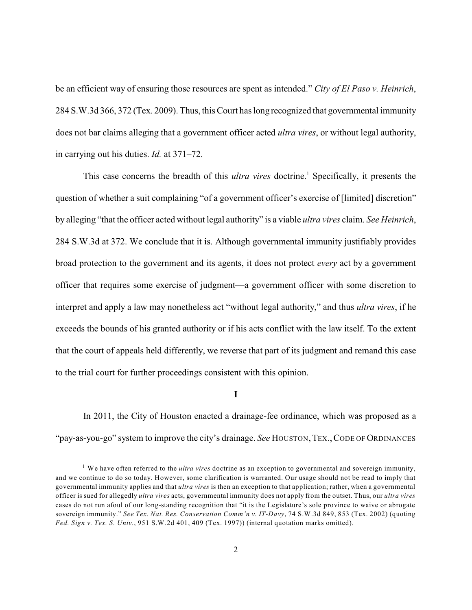be an efficient way of ensuring those resources are spent as intended." *City of El Paso v. Heinrich*, 284 S.W.3d 366, 372 (Tex. 2009). Thus, this Court has long recognized that governmental immunity does not bar claims alleging that a government officer acted *ultra vires*, or without legal authority, in carrying out his duties. *Id.* at 371–72.

This case concerns the breadth of this *ultra vires* doctrine.<sup>1</sup> Specifically, it presents the question of whether a suit complaining "of a government officer's exercise of [limited] discretion" by alleging "that the officer acted without legal authority" is a viable *ultra vires* claim. *See Heinrich*, 284 S.W.3d at 372. We conclude that it is. Although governmental immunity justifiably provides broad protection to the government and its agents, it does not protect *every* act by a government officer that requires some exercise of judgment—a government officer with some discretion to interpret and apply a law may nonetheless act "without legal authority," and thus *ultra vires*, if he exceeds the bounds of his granted authority or if his acts conflict with the law itself. To the extent that the court of appeals held differently, we reverse that part of its judgment and remand this case to the trial court for further proceedings consistent with this opinion.

**I**

In 2011, the City of Houston enacted a drainage-fee ordinance, which was proposed as a "pay-as-you-go" system to improve the city's drainage. *See* HOUSTON, TEX., CODE OF ORDINANCES

<sup>&</sup>lt;sup>1</sup> We have often referred to the *ultra vires* doctrine as an exception to governmental and sovereign immunity, and we continue to do so today. However, some clarification is warranted. Our usage should not be read to imply that governmental immunity applies and that *ultra vires* is then an exception to that application; rather, when a governmental officer is sued for allegedly *ultra vires* acts, governmental immunity does not apply from the outset. Thus, our *ultra vires* cases do not run afoul of our long-standing recognition that "it is the Legislature's sole province to waive or abrogate sovereign immunity." *See Tex. Nat. Res. Conservation Comm'n v. IT-Davy*, 74 S.W.3d 849, 853 (Tex. 2002) (quoting *Fed. Sign v. Tex. S. Univ.*, 951 S.W.2d 401, 409 (Tex. 1997)) (internal quotation marks omitted).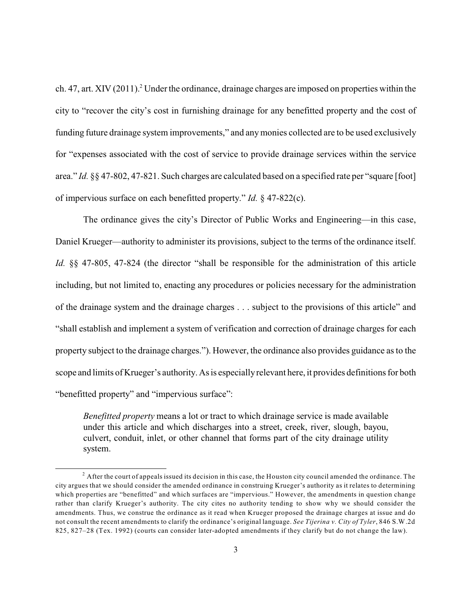ch. 47, art. XIV (2011).<sup>2</sup> Under the ordinance, drainage charges are imposed on properties within the city to "recover the city's cost in furnishing drainage for any benefitted property and the cost of funding future drainage system improvements," and anymonies collected are to be used exclusively for "expenses associated with the cost of service to provide drainage services within the service area." *Id.* §§ 47-802, 47-821. Such charges are calculated based on a specified rate per "square [foot] of impervious surface on each benefitted property." *Id.* § 47-822(c).

The ordinance gives the city's Director of Public Works and Engineering—in this case, Daniel Krueger—authority to administer its provisions, subject to the terms of the ordinance itself. *Id.* §§ 47-805, 47-824 (the director "shall be responsible for the administration of this article including, but not limited to, enacting any procedures or policies necessary for the administration of the drainage system and the drainage charges . . . subject to the provisions of this article" and "shall establish and implement a system of verification and correction of drainage charges for each property subject to the drainage charges."). However, the ordinance also provides guidance as to the scope and limits of Krueger's authority. As is especially relevant here, it provides definitions for both "benefitted property" and "impervious surface":

*Benefitted property* means a lot or tract to which drainage service is made available under this article and which discharges into a street, creek, river, slough, bayou, culvert, conduit, inlet, or other channel that forms part of the city drainage utility system.

 $^2$  After the court of appeals issued its decision in this case, the Houston city council amended the ordinance. The city argues that we should consider the amended ordinance in construing Krueger's authority as it relates to determining which properties are "benefitted" and which surfaces are "impervious." However, the amendments in question change rather than clarify Krueger's authority. The city cites no authority tending to show why we should consider the amendments. Thus, we construe the ordinance as it read when Krueger proposed the drainage charges at issue and do not consult the recent amendments to clarify the ordinance's original language. *See Tijerina v. City of Tyler*, 846 S.W.2d 825, 827–28 (Tex. 1992) (courts can consider later-adopted amendments if they clarify but do not change the law).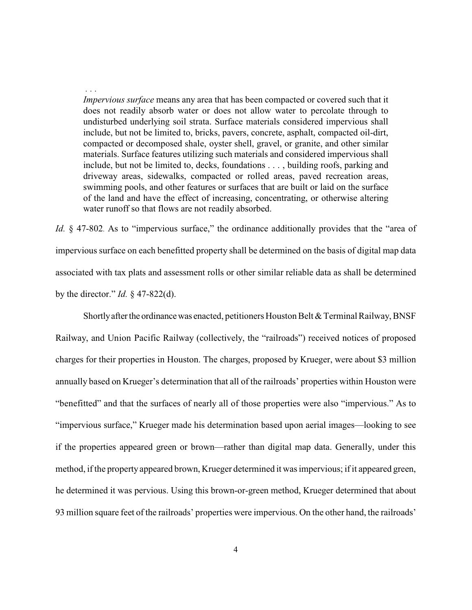*Impervious surface* means any area that has been compacted or covered such that it does not readily absorb water or does not allow water to percolate through to undisturbed underlying soil strata. Surface materials considered impervious shall include, but not be limited to, bricks, pavers, concrete, asphalt, compacted oil-dirt, compacted or decomposed shale, oyster shell, gravel, or granite, and other similar materials. Surface features utilizing such materials and considered impervious shall include, but not be limited to, decks, foundations . . . , building roofs, parking and driveway areas, sidewalks, compacted or rolled areas, paved recreation areas, swimming pools, and other features or surfaces that are built or laid on the surface of the land and have the effect of increasing, concentrating, or otherwise altering water runoff so that flows are not readily absorbed.

 *. . .* 

*Id.* § 47-802. As to "impervious surface," the ordinance additionally provides that the "area of impervious surface on each benefitted property shall be determined on the basis of digital map data associated with tax plats and assessment rolls or other similar reliable data as shall be determined by the director." *Id.* § 47-822(d).

Shortly after the ordinance was enacted, petitioners Houston Belt  $&$  Terminal Railway, BNSF Railway, and Union Pacific Railway (collectively, the "railroads") received notices of proposed charges for their properties in Houston. The charges, proposed by Krueger, were about \$3 million annually based on Krueger's determination that all of the railroads' properties within Houston were "benefitted" and that the surfaces of nearly all of those properties were also "impervious." As to "impervious surface," Krueger made his determination based upon aerial images—looking to see if the properties appeared green or brown—rather than digital map data. Generally, under this method, if the property appeared brown, Krueger determined it was impervious; if it appeared green, he determined it was pervious. Using this brown-or-green method, Krueger determined that about 93 million square feet of the railroads' properties were impervious. On the other hand, the railroads'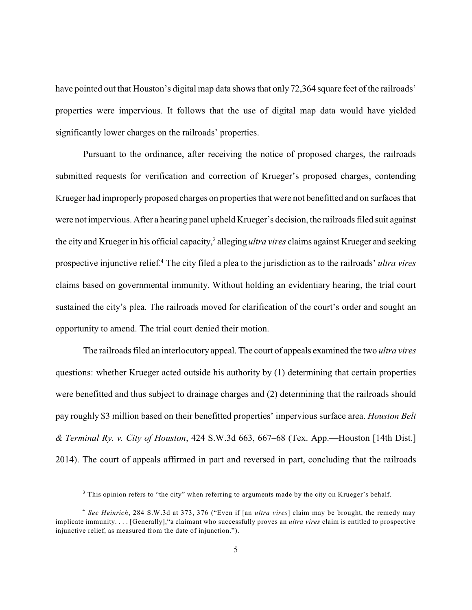have pointed out that Houston's digital map data shows that only 72,364 square feet of the railroads' properties were impervious. It follows that the use of digital map data would have yielded significantly lower charges on the railroads' properties.

Pursuant to the ordinance, after receiving the notice of proposed charges, the railroads submitted requests for verification and correction of Krueger's proposed charges, contending Krueger had improperly proposed charges on properties that were not benefitted and on surfaces that were not impervious. After a hearing panel upheld Krueger's decision, the railroads filed suit against the city and Krueger in his official capacity,<sup>3</sup> alleging *ultra vires* claims against Krueger and seeking prospective injunctive relief. The city filed a plea to the jurisdiction as to the railroads' *ultra vires* <sup>4</sup> claims based on governmental immunity. Without holding an evidentiary hearing, the trial court sustained the city's plea. The railroads moved for clarification of the court's order and sought an opportunity to amend. The trial court denied their motion.

The railroads filed an interlocutoryappeal. The court of appeals examined the two *ultra vires* questions: whether Krueger acted outside his authority by (1) determining that certain properties were benefitted and thus subject to drainage charges and (2) determining that the railroads should pay roughly \$3 million based on their benefitted properties' impervious surface area. *Houston Belt & Terminal Ry. v. City of Houston*, 424 S.W.3d 663, 667–68 (Tex. App.—Houston [14th Dist.] 2014). The court of appeals affirmed in part and reversed in part, concluding that the railroads

 $3$  This opinion refers to "the city" when referring to arguments made by the city on Krueger's behalf.

*See Heinrich*, 284 S.W.3d at 373, 376 ("Even if [an *ultra vires*] claim may be brought, the remedy may 4 implicate immunity. . . . [Generally],"a claimant who successfully proves an *ultra vires* claim is entitled to prospective injunctive relief, as measured from the date of injunction.").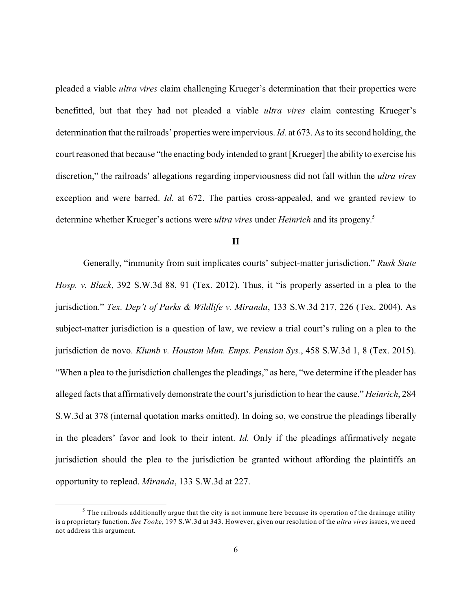pleaded a viable *ultra vires* claim challenging Krueger's determination that their properties were benefitted, but that they had not pleaded a viable *ultra vires* claim contesting Krueger's determination that the railroads' properties were impervious.*Id.* at 673. As to its second holding, the court reasoned that because "the enacting body intended to grant [Krueger] the ability to exercise his discretion," the railroads' allegations regarding imperviousness did not fall within the *ultra vires* exception and were barred. *Id.* at 672. The parties cross-appealed, and we granted review to determine whether Krueger's actions were *ultra vires* under *Heinrich* and its progeny. 5

**II**

Generally, "immunity from suit implicates courts' subject-matter jurisdiction." *Rusk State Hosp. v. Black*, 392 S.W.3d 88, 91 (Tex. 2012). Thus, it "is properly asserted in a plea to the jurisdiction." *Tex. Dep't of Parks & Wildlife v. Miranda*, 133 S.W.3d 217, 226 (Tex. 2004). As subject-matter jurisdiction is a question of law, we review a trial court's ruling on a plea to the jurisdiction de novo. *Klumb v. Houston Mun. Emps. Pension Sys.*, 458 S.W.3d 1, 8 (Tex. 2015). "When a plea to the jurisdiction challenges the pleadings," as here, "we determine if the pleader has alleged facts that affirmatively demonstrate the court's jurisdiction to hearthe cause." *Heinrich*, 284 S.W.3d at 378 (internal quotation marks omitted). In doing so, we construe the pleadings liberally in the pleaders' favor and look to their intent. *Id.* Only if the pleadings affirmatively negate jurisdiction should the plea to the jurisdiction be granted without affording the plaintiffs an opportunity to replead. *Miranda*, 133 S.W.3d at 227.

 $5$  The railroads additionally argue that the city is not immune here because its operation of the drainage utility is a proprietary function. *See Tooke*, 197 S.W.3d at 343. However, given our resolution of the *ultra vires* issues, we need not address this argument.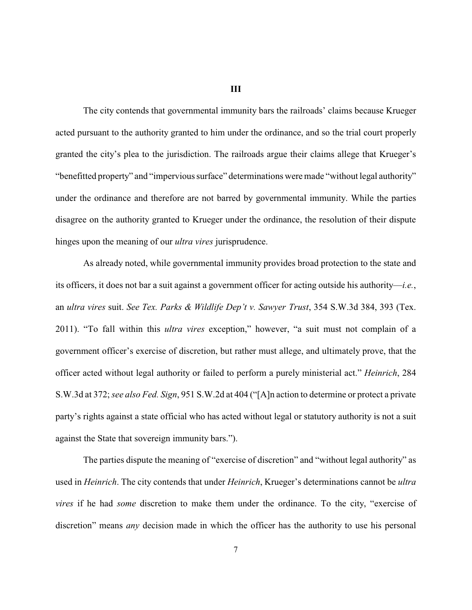#### **III**

The city contends that governmental immunity bars the railroads' claims because Krueger acted pursuant to the authority granted to him under the ordinance, and so the trial court properly granted the city's plea to the jurisdiction. The railroads argue their claims allege that Krueger's "benefitted property" and "impervious surface" determinations were made "without legal authority" under the ordinance and therefore are not barred by governmental immunity. While the parties disagree on the authority granted to Krueger under the ordinance, the resolution of their dispute hinges upon the meaning of our *ultra vires* jurisprudence.

As already noted, while governmental immunity provides broad protection to the state and its officers, it does not bar a suit against a government officer for acting outside his authority—*i.e.*, an *ultra vires* suit. *See Tex. Parks & Wildlife Dep't v. Sawyer Trust*, 354 S.W.3d 384, 393 (Tex. 2011). "To fall within this *ultra vires* exception," however, "a suit must not complain of a government officer's exercise of discretion, but rather must allege, and ultimately prove, that the officer acted without legal authority or failed to perform a purely ministerial act." *Heinrich*, 284 S.W.3d at 372; *see also Fed. Sign*, 951 S.W.2d at 404 ("[A]n action to determine or protect a private party's rights against a state official who has acted without legal or statutory authority is not a suit against the State that sovereign immunity bars.").

The parties dispute the meaning of "exercise of discretion" and "without legal authority" as used in *Heinrich*. The city contends that under *Heinrich*, Krueger's determinations cannot be *ultra vires* if he had *some* discretion to make them under the ordinance. To the city, "exercise of discretion" means *any* decision made in which the officer has the authority to use his personal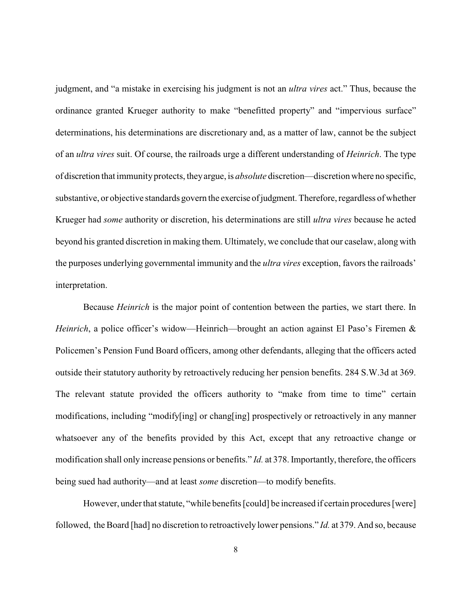judgment, and "a mistake in exercising his judgment is not an *ultra vires* act." Thus, because the ordinance granted Krueger authority to make "benefitted property" and "impervious surface" determinations, his determinations are discretionary and, as a matter of law, cannot be the subject of an *ultra vires* suit. Of course, the railroads urge a different understanding of *Heinrich*. The type of discretion that immunityprotects, theyargue, is *absolute* discretion—discretion where no specific, substantive, or objective standards govern the exercise of judgment. Therefore, regardless of whether Krueger had *some* authority or discretion, his determinations are still *ultra vires* because he acted beyond his granted discretion in making them. Ultimately, we conclude that our caselaw, along with the purposes underlying governmental immunity and the *ultra vires* exception, favors the railroads' interpretation.

Because *Heinrich* is the major point of contention between the parties, we start there. In *Heinrich*, a police officer's widow—Heinrich—brought an action against El Paso's Firemen & Policemen's Pension Fund Board officers, among other defendants, alleging that the officers acted outside their statutory authority by retroactively reducing her pension benefits. 284 S.W.3d at 369. The relevant statute provided the officers authority to "make from time to time" certain modifications, including "modify[ing] or chang[ing] prospectively or retroactively in any manner whatsoever any of the benefits provided by this Act, except that any retroactive change or modification shall only increase pensions or benefits." *Id.* at 378. Importantly, therefore, the officers being sued had authority—and at least *some* discretion—to modify benefits.

However, under that statute, "while benefits [could] be increased if certain procedures [were] followed, the Board [had] no discretion to retroactively lower pensions." *Id.* at 379. And so, because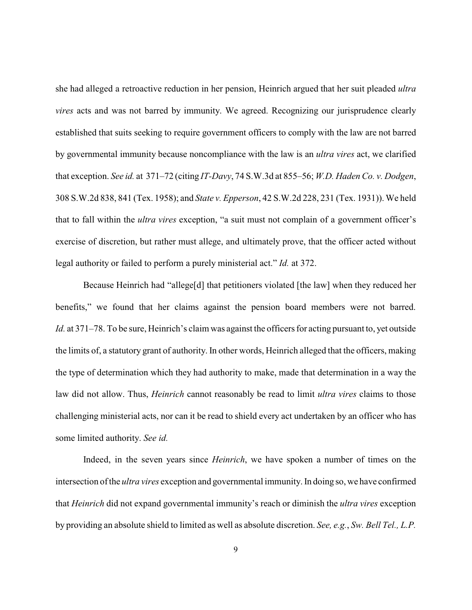she had alleged a retroactive reduction in her pension, Heinrich argued that her suit pleaded *ultra vires* acts and was not barred by immunity. We agreed. Recognizing our jurisprudence clearly established that suits seeking to require government officers to comply with the law are not barred by governmental immunity because noncompliance with the law is an *ultra vires* act, we clarified that exception. *See id.* at 371–72 (citing *IT-Davy*, 74 S.W.3d at 855–56; *W.D. Haden Co. v. Dodgen*, 308 S.W.2d 838, 841 (Tex. 1958); and *State v. Epperson*, 42 S.W.2d 228, 231 (Tex. 1931)). We held that to fall within the *ultra vires* exception, "a suit must not complain of a government officer's exercise of discretion, but rather must allege, and ultimately prove, that the officer acted without legal authority or failed to perform a purely ministerial act." *Id.* at 372.

Because Heinrich had "allege[d] that petitioners violated [the law] when they reduced her benefits," we found that her claims against the pension board members were not barred. *Id.* at 371–78. To be sure, Heinrich's claim was against the officers for acting pursuant to, yet outside the limits of, a statutory grant of authority. In other words, Heinrich alleged that the officers, making the type of determination which they had authority to make, made that determination in a way the law did not allow. Thus, *Heinrich* cannot reasonably be read to limit *ultra vires* claims to those challenging ministerial acts, nor can it be read to shield every act undertaken by an officer who has some limited authority. *See id.*

Indeed, in the seven years since *Heinrich*, we have spoken a number of times on the intersection of the *ultra vires* exception and governmental immunity. In doing so, we have confirmed that *Heinrich* did not expand governmental immunity's reach or diminish the *ultra vires* exception by providing an absolute shield to limited as well as absolute discretion. *See, e.g.*, *Sw. Bell Tel., L.P.*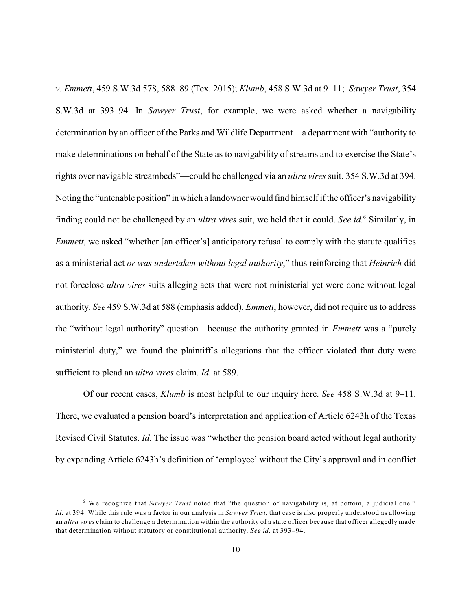*v. Emmett*, 459 S.W.3d 578, 588–89 (Tex. 2015); *Klumb*, 458 S.W.3d at 9–11; *Sawyer Trust*, 354 S.W.3d at 393–94. In *Sawyer Trust*, for example, we were asked whether a navigability determination by an officer of the Parks and Wildlife Department—a department with "authority to make determinations on behalf of the State as to navigability of streams and to exercise the State's rights over navigable streambeds"—could be challenged via an *ultra vires* suit. 354 S.W.3d at 394. Noting the "untenable position" in which a landownerwould find himself if the officer's navigability finding could not be challenged by an *ultra vires* suit, we held that it could. *See id.* Similarly, in <sup>6</sup> *Emmett*, we asked "whether [an officer's] anticipatory refusal to comply with the statute qualifies as a ministerial act *or was undertaken without legal authority*," thus reinforcing that *Heinrich* did not foreclose *ultra vires* suits alleging acts that were not ministerial yet were done without legal authority. *See* 459 S.W.3d at 588 (emphasis added). *Emmett*, however, did not require us to address the "without legal authority" question—because the authority granted in *Emmett* was a "purely ministerial duty," we found the plaintiff's allegations that the officer violated that duty were sufficient to plead an *ultra vires* claim. *Id.* at 589.

Of our recent cases, *Klumb* is most helpful to our inquiry here. *See* 458 S.W.3d at 9–11. There, we evaluated a pension board's interpretation and application of Article 6243h of the Texas Revised Civil Statutes. *Id.* The issue was "whether the pension board acted without legal authority by expanding Article 6243h's definition of 'employee' without the City's approval and in conflict

<sup>&</sup>lt;sup>6</sup> We recognize that *Sawyer Trust* noted that "the question of navigability is, at bottom, a judicial one." *Id.* at 394. While this rule was a factor in our analysis in *Sawyer Trust*, that case is also properly understood as allowing an *ultra vires* claim to challenge a determination within the authority of a state officer because that officer allegedly made that determination without statutory or constitutional authority. *See id.* at 393–94.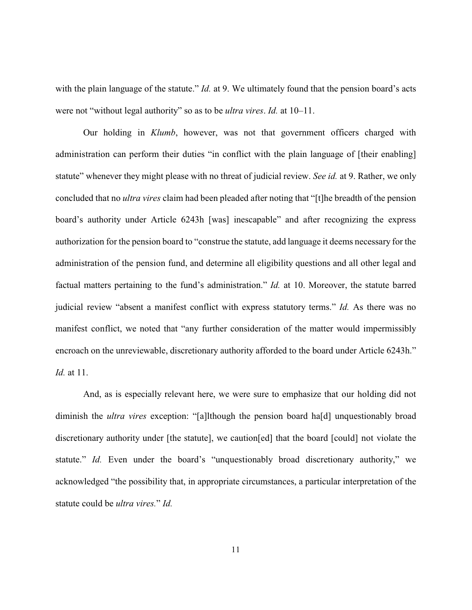with the plain language of the statute." *Id.* at 9. We ultimately found that the pension board's acts were not "without legal authority" so as to be *ultra vires*. *Id.* at 10–11.

Our holding in *Klumb*, however, was not that government officers charged with administration can perform their duties "in conflict with the plain language of [their enabling] statute" whenever they might please with no threat of judicial review. *See id.* at 9. Rather, we only concluded that no *ultra vires* claim had been pleaded after noting that "[t]he breadth of the pension board's authority under Article 6243h [was] inescapable" and after recognizing the express authorization for the pension board to "construe the statute, add language it deems necessary for the administration of the pension fund, and determine all eligibility questions and all other legal and factual matters pertaining to the fund's administration." *Id.* at 10. Moreover, the statute barred judicial review "absent a manifest conflict with express statutory terms." *Id.* As there was no manifest conflict, we noted that "any further consideration of the matter would impermissibly encroach on the unreviewable, discretionary authority afforded to the board under Article 6243h." *Id.* at 11.

And, as is especially relevant here, we were sure to emphasize that our holding did not diminish the *ultra vires* exception: "[a]lthough the pension board ha[d] unquestionably broad discretionary authority under [the statute], we caution[ed] that the board [could] not violate the statute." *Id.* Even under the board's "unquestionably broad discretionary authority," we acknowledged "the possibility that, in appropriate circumstances, a particular interpretation of the statute could be *ultra vires.*" *Id.*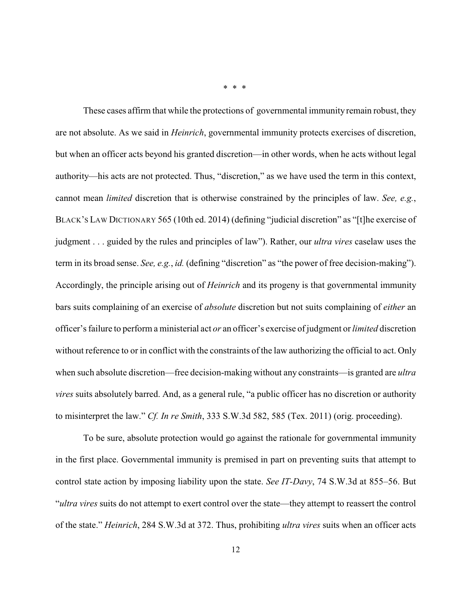These cases affirm that while the protections of governmental immunity remain robust, they are not absolute. As we said in *Heinrich*, governmental immunity protects exercises of discretion, but when an officer acts beyond his granted discretion—in other words, when he acts without legal authority—his acts are not protected. Thus, "discretion," as we have used the term in this context, cannot mean *limited* discretion that is otherwise constrained by the principles of law. *See, e.g.*, BLACK'S LAW DICTIONARY 565 (10th ed. 2014) (defining "judicial discretion" as "[t]he exercise of judgment . . . guided by the rules and principles of law"). Rather, our *ultra vires* caselaw uses the term in its broad sense. *See, e.g.*, *id.* (defining "discretion" as "the power of free decision-making"). Accordingly, the principle arising out of *Heinrich* and its progeny is that governmental immunity bars suits complaining of an exercise of *absolute* discretion but not suits complaining of *either* an officer's failure to perform a ministerial act *or* an officer's exercise of judgment or *limited* discretion without reference to or in conflict with the constraints of the law authorizing the official to act. Only when such absolute discretion—free decision-making without any constraints—is granted are *ultra vires* suits absolutely barred. And, as a general rule, "a public officer has no discretion or authority to misinterpret the law." *Cf. In re Smith*, 333 S.W.3d 582, 585 (Tex. 2011) (orig. proceeding).

To be sure, absolute protection would go against the rationale for governmental immunity in the first place. Governmental immunity is premised in part on preventing suits that attempt to control state action by imposing liability upon the state. *See IT-Davy*, 74 S.W.3d at 855–56. But "*ultra vires* suits do not attempt to exert control over the state—they attempt to reassert the control of the state." *Heinrich*, 284 S.W.3d at 372. Thus, prohibiting *ultra vires* suits when an officer acts

\* \* \*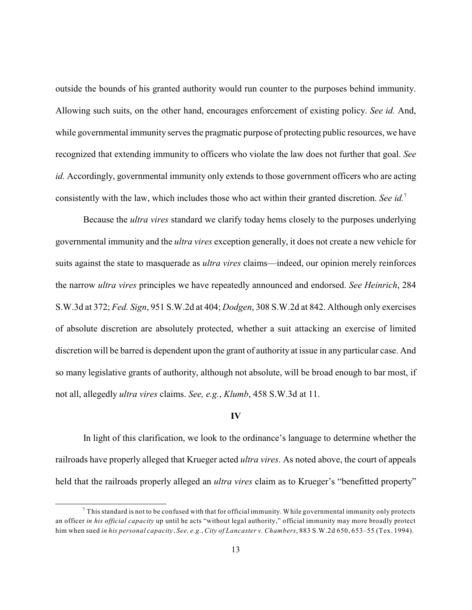outside the bounds of his granted authority would run counter to the purposes behind immunity. Allowing such suits, on the other hand, encourages enforcement of existing policy. *See id.* And, while governmental immunity serves the pragmatic purpose of protecting public resources, we have recognized that extending immunity to officers who violate the law does not further that goal. *See id.* Accordingly, governmental immunity only extends to those government officers who are acting consistently with the law, which includes those who act within their granted discretion. *See id.*<sup>7</sup>

Because the *ultra vires* standard we clarify today hems closely to the purposes underlying governmental immunity and the *ultra vires* exception generally, it does not create a new vehicle for suits against the state to masquerade as *ultra vires* claims—indeed, our opinion merely reinforces the narrow *ultra vires* principles we have repeatedly announced and endorsed. *See Heinrich*, 284 S.W.3d at 372; *Fed. Sign*, 951 S.W.2d at 404; *Dodgen*, 308 S.W.2d at 842. Although only exercises of absolute discretion are absolutely protected, whether a suit attacking an exercise of limited discretion will be barred is dependent upon the grant of authority at issue in any particular case. And so many legislative grants of authority, although not absolute, will be broad enough to bar most, if not all, allegedly *ultra vires* claims. *See, e.g.*, *Klumb*, 458 S.W.3d at 11.

#### **IV**

In light of this clarification, we look to the ordinance's language to determine whether the railroads have properly alleged that Krueger acted *ultra vires*. As noted above, the court of appeals held that the railroads properly alleged an *ultra vires* claim as to Krueger's "benefitted property"

 $^7$  This standard is not to be confused with that for official immunity. While governmental immunity only protects an officer *in his official capacity* up until he acts "without legal authority," official immunity may more broadly protect him when sued *in his personal capacity*. *See, e.g.*, *City of Lancaster v. Chambers*, 883 S.W.2d 650, 653–55 (Tex. 1994).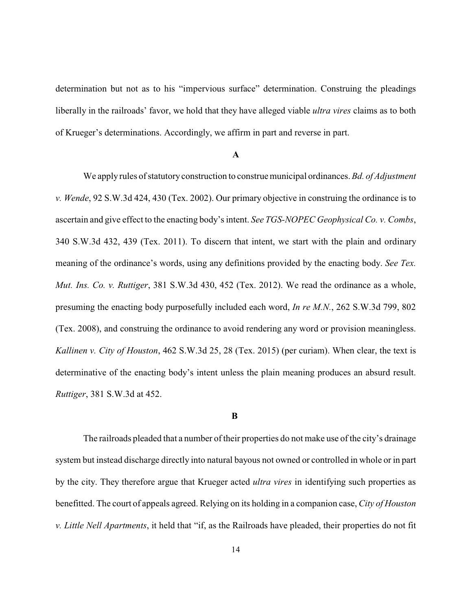determination but not as to his "impervious surface" determination. Construing the pleadings liberally in the railroads' favor, we hold that they have alleged viable *ultra vires* claims as to both of Krueger's determinations. Accordingly, we affirm in part and reverse in part.

#### **A**

We apply rules of statutory construction to construe municipal ordinances. *Bd. of Adjustment v. Wende*, 92 S.W.3d 424, 430 (Tex. 2002). Our primary objective in construing the ordinance is to ascertain and give effect to the enacting body's intent. *See TGS-NOPEC Geophysical Co. v. Combs*, 340 S.W.3d 432, 439 (Tex. 2011). To discern that intent, we start with the plain and ordinary meaning of the ordinance's words, using any definitions provided by the enacting body. *See Tex. Mut. Ins. Co. v. Ruttiger*, 381 S.W.3d 430, 452 (Tex. 2012). We read the ordinance as a whole, presuming the enacting body purposefully included each word, *In re M.N.*, 262 S.W.3d 799, 802 (Tex. 2008), and construing the ordinance to avoid rendering any word or provision meaningless. *Kallinen v. City of Houston*, 462 S.W.3d 25, 28 (Tex. 2015) (per curiam). When clear, the text is determinative of the enacting body's intent unless the plain meaning produces an absurd result. *Ruttiger*, 381 S.W.3d at 452.

#### **B**

The railroads pleaded that a number of their properties do not make use of the city's drainage system but instead discharge directly into natural bayous not owned or controlled in whole or in part by the city. They therefore argue that Krueger acted *ultra vires* in identifying such properties as benefitted. The court of appeals agreed. Relying on its holding in a companion case, *City of Houston v. Little Nell Apartments*, it held that "if, as the Railroads have pleaded, their properties do not fit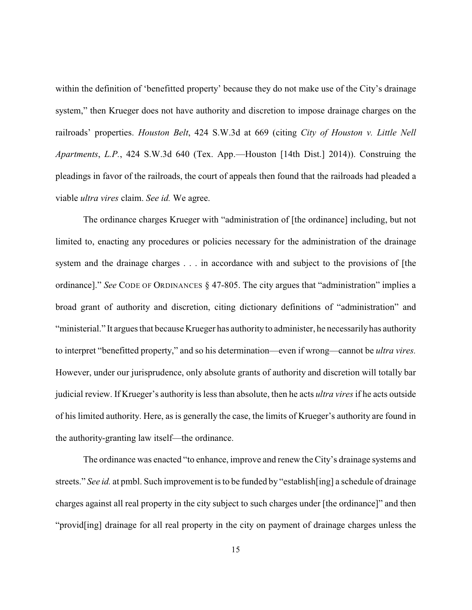within the definition of 'benefitted property' because they do not make use of the City's drainage system," then Krueger does not have authority and discretion to impose drainage charges on the railroads' properties. *Houston Belt*, 424 S.W.3d at 669 (citing *City of Houston v. Little Nell Apartments*, *L.P.*, 424 S.W.3d 640 (Tex. App.—Houston [14th Dist.] 2014)). Construing the pleadings in favor of the railroads, the court of appeals then found that the railroads had pleaded a viable *ultra vires* claim. *See id.* We agree.

The ordinance charges Krueger with "administration of [the ordinance] including, but not limited to, enacting any procedures or policies necessary for the administration of the drainage system and the drainage charges . . . in accordance with and subject to the provisions of [the ordinance]." *See* CODE OF ORDINANCES § 47-805. The city argues that "administration" implies a broad grant of authority and discretion, citing dictionary definitions of "administration" and "ministerial." It argues that because Krueger has authority to administer, he necessarilyhas authority to interpret "benefitted property," and so his determination—even if wrong—cannot be *ultra vires.* However, under our jurisprudence, only absolute grants of authority and discretion will totally bar judicial review. If Krueger's authority is less than absolute, then he acts *ultra vires* if he acts outside of his limited authority. Here, as is generally the case, the limits of Krueger's authority are found in the authority-granting law itself—the ordinance.

The ordinance was enacted "to enhance, improve and renew the City's drainage systems and streets." *See id.* at pmbl. Such improvement is to be funded by "establish[ing] a schedule of drainage charges against all real property in the city subject to such charges under [the ordinance]" and then "provid[ing] drainage for all real property in the city on payment of drainage charges unless the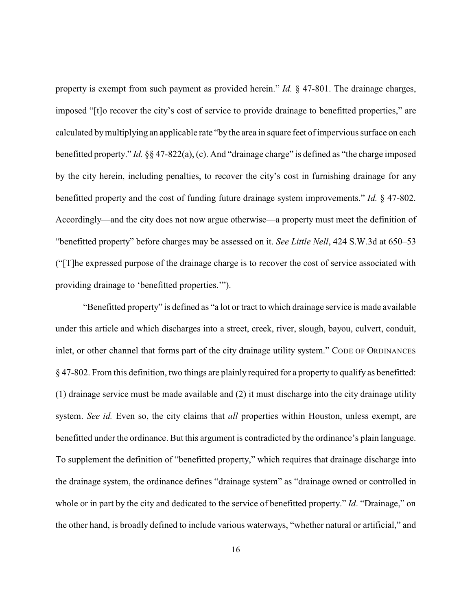property is exempt from such payment as provided herein." *Id.* § 47-801. The drainage charges, imposed "[t]o recover the city's cost of service to provide drainage to benefitted properties," are calculated bymultiplying an applicable rate "by the area in square feet of impervious surface on each benefitted property." *Id.* §§ 47-822(a), (c). And "drainage charge" is defined as "the charge imposed by the city herein, including penalties, to recover the city's cost in furnishing drainage for any benefitted property and the cost of funding future drainage system improvements." *Id.* § 47-802. Accordingly—and the city does not now argue otherwise—a property must meet the definition of "benefitted property" before charges may be assessed on it. *See Little Nell*, 424 S.W.3d at 650–53 ("[T]he expressed purpose of the drainage charge is to recover the cost of service associated with providing drainage to 'benefitted properties.'").

"Benefitted property" is defined as "a lot or tract to which drainage service is made available under this article and which discharges into a street, creek, river, slough, bayou, culvert, conduit, inlet, or other channel that forms part of the city drainage utility system." CODE OF ORDINANCES § 47-802. From this definition, two things are plainly required for a property to qualify as benefitted: (1) drainage service must be made available and (2) it must discharge into the city drainage utility system. *See id.* Even so, the city claims that *all* properties within Houston, unless exempt, are benefitted under the ordinance. But this argument is contradicted by the ordinance's plain language. To supplement the definition of "benefitted property," which requires that drainage discharge into the drainage system, the ordinance defines "drainage system" as "drainage owned or controlled in whole or in part by the city and dedicated to the service of benefitted property." *Id*. "Drainage," on the other hand, is broadly defined to include various waterways, "whether natural or artificial," and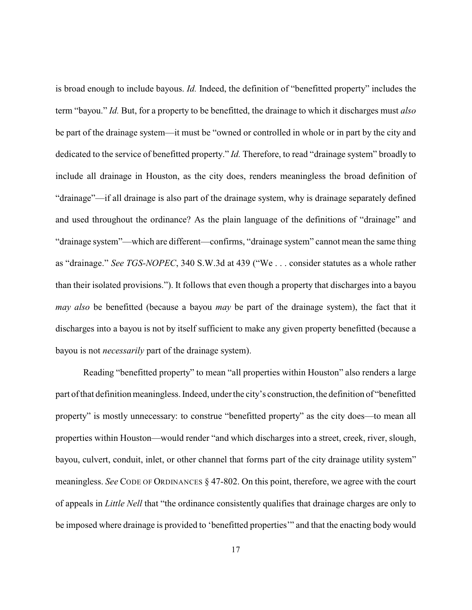is broad enough to include bayous. *Id.* Indeed, the definition of "benefitted property" includes the term "bayou." *Id.* But, for a property to be benefitted, the drainage to which it discharges must *also* be part of the drainage system—it must be "owned or controlled in whole or in part by the city and dedicated to the service of benefitted property." *Id.* Therefore, to read "drainage system" broadly to include all drainage in Houston, as the city does, renders meaningless the broad definition of "drainage"—if all drainage is also part of the drainage system, why is drainage separately defined and used throughout the ordinance? As the plain language of the definitions of "drainage" and "drainage system"—which are different—confirms, "drainage system" cannot mean the same thing as "drainage." *See TGS-NOPEC*, 340 S.W.3d at 439 ("We . . . consider statutes as a whole rather than their isolated provisions."). It follows that even though a property that discharges into a bayou *may also* be benefitted (because a bayou *may* be part of the drainage system), the fact that it discharges into a bayou is not by itself sufficient to make any given property benefitted (because a bayou is not *necessarily* part of the drainage system).

Reading "benefitted property" to mean "all properties within Houston" also renders a large part of that definition meaningless. Indeed, under the city's construction, the definition of "benefitted property" is mostly unnecessary: to construe "benefitted property" as the city does—to mean all properties within Houston—would render "and which discharges into a street, creek, river, slough, bayou, culvert, conduit, inlet, or other channel that forms part of the city drainage utility system" meaningless. *See* CODE OF ORDINANCES § 47-802. On this point, therefore, we agree with the court of appeals in *Little Nell* that "the ordinance consistently qualifies that drainage charges are only to be imposed where drainage is provided to 'benefitted properties'" and that the enacting body would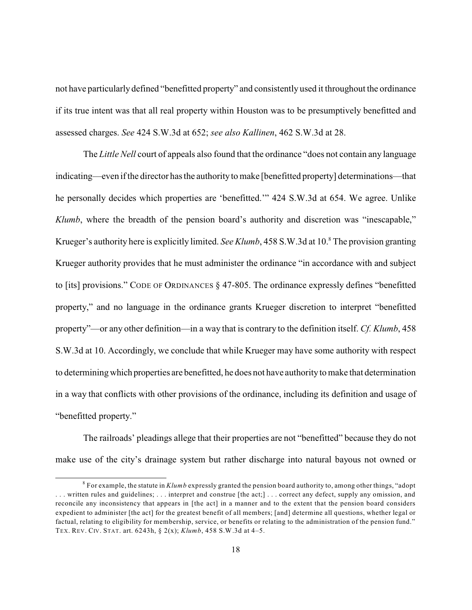not have particularly defined "benefitted property" and consistently used it throughout the ordinance if its true intent was that all real property within Houston was to be presumptively benefitted and assessed charges. *See* 424 S.W.3d at 652; *see also Kallinen*, 462 S.W.3d at 28.

The *Little Nell* court of appeals also found that the ordinance "does not contain any language indicating—even if the director has the authority to make [benefitted property] determinations—that he personally decides which properties are 'benefitted.'" 424 S.W.3d at 654. We agree. Unlike *Klumb*, where the breadth of the pension board's authority and discretion was "inescapable," Krueger's authority here is explicitly limited. *See Klumb*, 458 S.W.3d at 10.<sup>8</sup> The provision granting Krueger authority provides that he must administer the ordinance "in accordance with and subject to [its] provisions." CODE OF ORDINANCES § 47-805. The ordinance expressly defines "benefitted property," and no language in the ordinance grants Krueger discretion to interpret "benefitted property"—or any other definition—in a way that is contrary to the definition itself. *Cf. Klumb*, 458 S.W.3d at 10. Accordingly, we conclude that while Krueger may have some authority with respect to determining which properties are benefitted, he does not have authorityto make that determination in a way that conflicts with other provisions of the ordinance, including its definition and usage of "benefitted property."

The railroads' pleadings allege that their properties are not "benefitted" because they do not make use of the city's drainage system but rather discharge into natural bayous not owned or

 $^8$  For example, the statute in  $Klumb$  expressly granted the pension board authority to, among other things, "adopt . . . written rules and guidelines; . . . interpret and construe [the act;] . . . correct any defect, supply any omission, and reconcile any inconsistency that appears in [the act] in a manner and to the extent that the pension board considers expedient to administer [the act] for the greatest benefit of all members; [and] determine all questions, whether legal or factual, relating to eligibility for membership, service, or benefits or relating to the administration of the pension fund." TEX. REV. CIV. STAT. art. 6243h, § 2(x); *Klumb*, 458 S.W.3d at 4–5.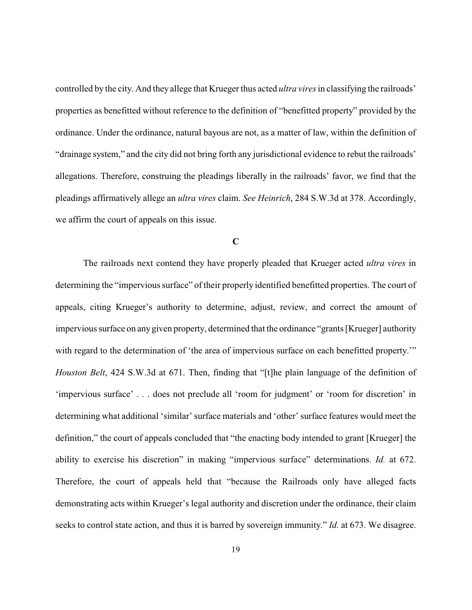controlled by the city. And they allege that Krueger thus acted *ultra vires* in classifying the railroads' properties as benefitted without reference to the definition of "benefitted property" provided by the ordinance. Under the ordinance, natural bayous are not, as a matter of law, within the definition of "drainage system," and the city did not bring forth any jurisdictional evidence to rebut the railroads' allegations. Therefore, construing the pleadings liberally in the railroads' favor, we find that the pleadings affirmatively allege an *ultra vires* claim. *See Heinrich*, 284 S.W.3d at 378. Accordingly, we affirm the court of appeals on this issue.

### **C**

The railroads next contend they have properly pleaded that Krueger acted *ultra vires* in determining the "impervious surface" of their properly identified benefitted properties. The court of appeals, citing Krueger's authority to determine, adjust, review, and correct the amount of impervious surface on anygiven property, determined that the ordinance "grants [Krueger] authority with regard to the determination of 'the area of impervious surface on each benefitted property.'" *Houston Belt*, 424 S.W.3d at 671. Then, finding that "[t]he plain language of the definition of 'impervious surface' . . . does not preclude all 'room for judgment' or 'room for discretion' in determining what additional 'similar' surface materials and 'other' surface features would meet the definition," the court of appeals concluded that "the enacting body intended to grant [Krueger] the ability to exercise his discretion" in making "impervious surface" determinations. *Id.* at 672. Therefore, the court of appeals held that "because the Railroads only have alleged facts demonstrating acts within Krueger's legal authority and discretion under the ordinance, their claim seeks to control state action, and thus it is barred by sovereign immunity." *Id.* at 673. We disagree.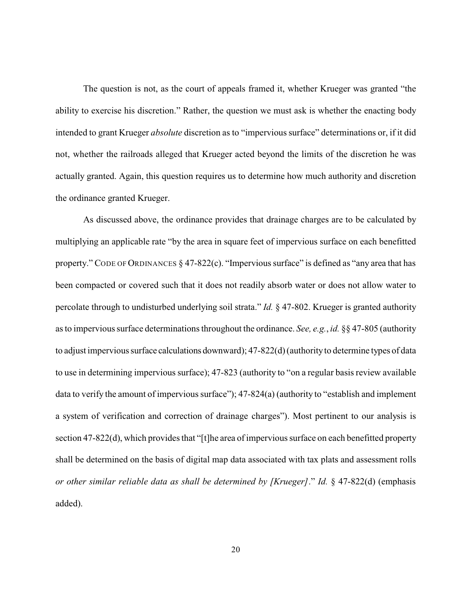The question is not, as the court of appeals framed it, whether Krueger was granted "the ability to exercise his discretion." Rather, the question we must ask is whether the enacting body intended to grant Krueger *absolute* discretion as to "impervious surface" determinations or, if it did not, whether the railroads alleged that Krueger acted beyond the limits of the discretion he was actually granted. Again, this question requires us to determine how much authority and discretion the ordinance granted Krueger.

As discussed above, the ordinance provides that drainage charges are to be calculated by multiplying an applicable rate "by the area in square feet of impervious surface on each benefitted property." CODE OF ORDINANCES § 47-822(c). "Impervious surface" is defined as "any area that has been compacted or covered such that it does not readily absorb water or does not allow water to percolate through to undisturbed underlying soil strata." *Id.* § 47-802. Krueger is granted authority as to impervious surface determinations throughout the ordinance. *See, e.g.*, *id.* §§ 47-805 (authority to adjust impervious surface calculations downward); 47-822(d)(authorityto determine types of data to use in determining impervious surface); 47-823 (authority to "on a regular basis review available data to verify the amount of impervious surface"); 47-824(a) (authority to "establish and implement a system of verification and correction of drainage charges"). Most pertinent to our analysis is section 47-822(d), which provides that "[t]he area of impervious surface on each benefitted property shall be determined on the basis of digital map data associated with tax plats and assessment rolls *or other similar reliable data as shall be determined by [Krueger]*." *Id.* § 47-822(d) (emphasis added).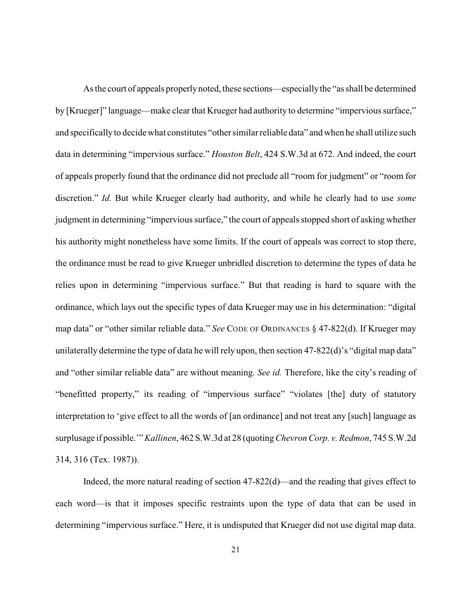As the court of appeals properlynoted, these sections—especiallythe "as shall be determined by [Krueger]" language—make clear that Krueger had authority to determine "impervious surface," and specifically to decide what constitutes "other similar reliable data" and when he shall utilize such data in determining "impervious surface." *Houston Belt*, 424 S.W.3d at 672. And indeed, the court of appeals properly found that the ordinance did not preclude all "room for judgment" or "room for discretion." *Id.* But while Krueger clearly had authority, and while he clearly had to use *some* judgment in determining "impervious surface," the court of appeals stopped short of asking whether his authority might nonetheless have some limits. If the court of appeals was correct to stop there, the ordinance must be read to give Krueger unbridled discretion to determine the types of data he relies upon in determining "impervious surface." But that reading is hard to square with the ordinance, which lays out the specific types of data Krueger may use in his determination: "digital map data" or "other similar reliable data." *See* CODE OF ORDINANCES § 47-822(d). If Krueger may unilaterally determine the type of data he will rely upon, then section 47-822(d)'s "digital map data" and "other similar reliable data" are without meaning. *See id.* Therefore, like the city's reading of "benefitted property," its reading of "impervious surface" "violates [the] duty of statutory interpretation to 'give effect to all the words of [an ordinance] and not treat any [such] language as surplusage if possible.'" *Kallinen*, 462 S.W.3d at 28 (quoting*Chevron Corp. v. Redmon*, 745 S.W.2d 314, 316 (Tex. 1987)).

Indeed, the more natural reading of section 47-822(d)—and the reading that gives effect to each word—is that it imposes specific restraints upon the type of data that can be used in determining "impervious surface." Here, it is undisputed that Krueger did not use digital map data.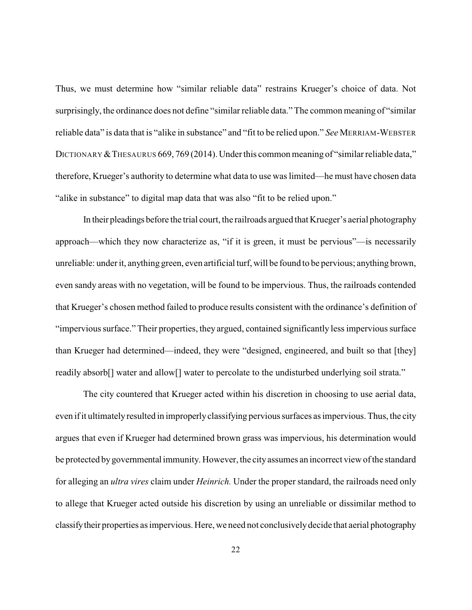Thus, we must determine how "similar reliable data" restrains Krueger's choice of data. Not surprisingly, the ordinance does not define "similar reliable data." The common meaning of "similar reliable data" is data that is "alike in substance" and "fit to be relied upon." *See* MERRIAM-WEBSTER DICTIONARY & THESAURUS 669, 769 (2014). Under this common meaning of "similar reliable data," therefore, Krueger's authority to determine what data to use was limited—he must have chosen data "alike in substance" to digital map data that was also "fit to be relied upon."

In their pleadings before the trial court, the railroads argued that Krueger's aerial photography approach—which they now characterize as, "if it is green, it must be pervious"—is necessarily unreliable: under it, anything green, even artificial turf, will be found to be pervious; anything brown, even sandy areas with no vegetation, will be found to be impervious. Thus, the railroads contended that Krueger's chosen method failed to produce results consistent with the ordinance's definition of "impervious surface." Their properties, they argued, contained significantly less impervious surface than Krueger had determined—indeed, they were "designed, engineered, and built so that [they] readily absorb[] water and allow[] water to percolate to the undisturbed underlying soil strata."

The city countered that Krueger acted within his discretion in choosing to use aerial data, even if it ultimatelyresulted in improperlyclassifying pervious surfaces as impervious. Thus, the city argues that even if Krueger had determined brown grass was impervious, his determination would be protected bygovernmental immunity. However, the cityassumes an incorrect view of the standard for alleging an *ultra vires* claim under *Heinrich.* Under the proper standard, the railroads need only to allege that Krueger acted outside his discretion by using an unreliable or dissimilar method to classifytheir properties as impervious. Here, we need not conclusivelydecide that aerial photography